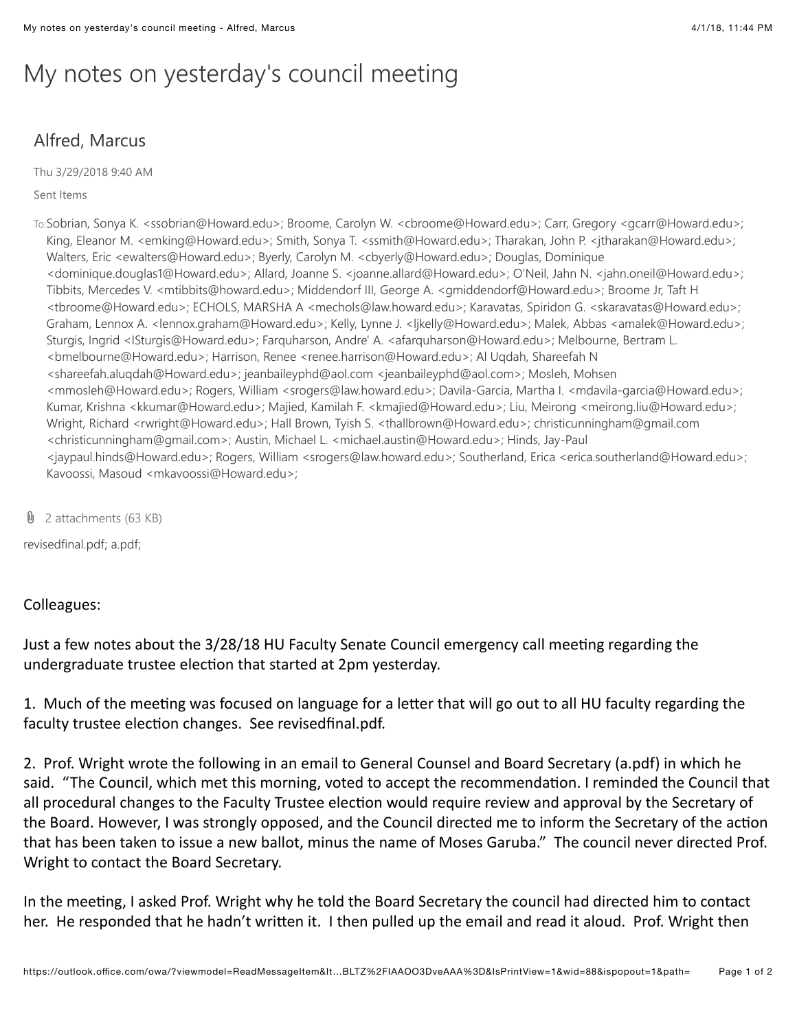# My notes on yesterday's council meeting

# Alfred, Marcus

Thu 3/29/2018 9:40 AM

#### Sent Items

To:Sobrian, Sonya K. <ssobrian@Howard.edu>; Broome, Carolyn W. <cbroome@Howard.edu>; Carr, Gregory <gcarr@Howard.edu>; King, Eleanor M. <emking@Howard.edu>; Smith, Sonya T. <ssmith@Howard.edu>; Tharakan, John P. <jtharakan@Howard.edu>; Walters, Eric <ewalters@Howard.edu>; Byerly, Carolyn M. <cbyerly@Howard.edu>; Douglas, Dominique <dominique.douglas1@Howard.edu>; Allard, Joanne S. <joanne.allard@Howard.edu>; O'Neil, Jahn N. <jahn.oneil@Howard.edu>; Tibbits, Mercedes V. <mtibbits@howard.edu>; Middendorf III, George A. <gmiddendorf@Howard.edu>; Broome Jr, Taft H <tbroome@Howard.edu>; ECHOLS, MARSHA A <mechols@law.howard.edu>; Karavatas, Spiridon G. <skaravatas@Howard.edu>; Graham, Lennox A. <lennox.graham@Howard.edu>; Kelly, Lynne J. <ljkelly@Howard.edu>; Malek, Abbas <amalek@Howard.edu>; Sturgis, Ingrid <ISturgis@Howard.edu>; Farquharson, Andre' A. <afarquharson@Howard.edu>; Melbourne, Bertram L. <bmelbourne@Howard.edu>; Harrison, Renee <renee.harrison@Howard.edu>; Al Uqdah, Shareefah N <shareefah.aluqdah@Howard.edu>; jeanbaileyphd@aol.com <jeanbaileyphd@aol.com>; Mosleh, Mohsen <mmosleh@Howard.edu>; Rogers, William <srogers@law.howard.edu>; Davila-Garcia, Martha I. <mdavila-garcia@Howard.edu>; Kumar, Krishna <kkumar@Howard.edu>; Majied, Kamilah F. <kmajied@Howard.edu>; Liu, Meirong <meirong.liu@Howard.edu>; Wright, Richard <rwright@Howard.edu>; Hall Brown, Tyish S. <thallbrown@Howard.edu>; christicunningham@gmail.com <christicunningham@gmail.com>; Austin, Michael L. <michael.austin@Howard.edu>; Hinds, Jay-Paul <jaypaul.hinds@Howard.edu>; Rogers, William <srogers@law.howard.edu>; Southerland, Erica <erica.southerland@Howard.edu>; Kavoossi, Masoud <mkavoossi@Howard.edu>;

### $\theta$  2 attachments (63 KB)

revisedfinal.pdf; a.pdf;

## Colleagues:

Just a few notes about the 3/28/18 HU Faculty Senate Council emergency call meeting regarding the undergraduate trustee election that started at 2pm yesterday.

1. Much of the meeting was focused on language for a letter that will go out to all HU faculty regarding the faculty trustee election changes. See revisedfinal.pdf.

2. Prof. Wright wrote the following in an email to General Counsel and Board Secretary (a.pdf) in which he said. "The Council, which met this morning, voted to accept the recommendation. I reminded the Council that all procedural changes to the Faculty Trustee election would require review and approval by the Secretary of the Board. However, I was strongly opposed, and the Council directed me to inform the Secretary of the action that has been taken to issue a new ballot, minus the name of Moses Garuba." The council never directed Prof. Wright to contact the Board Secretary.

In the meeting, I asked Prof. Wright why he told the Board Secretary the council had directed him to contact her.,He responded that he hadn't written it. I then pulled up the email and read it aloud. Prof. Wright then